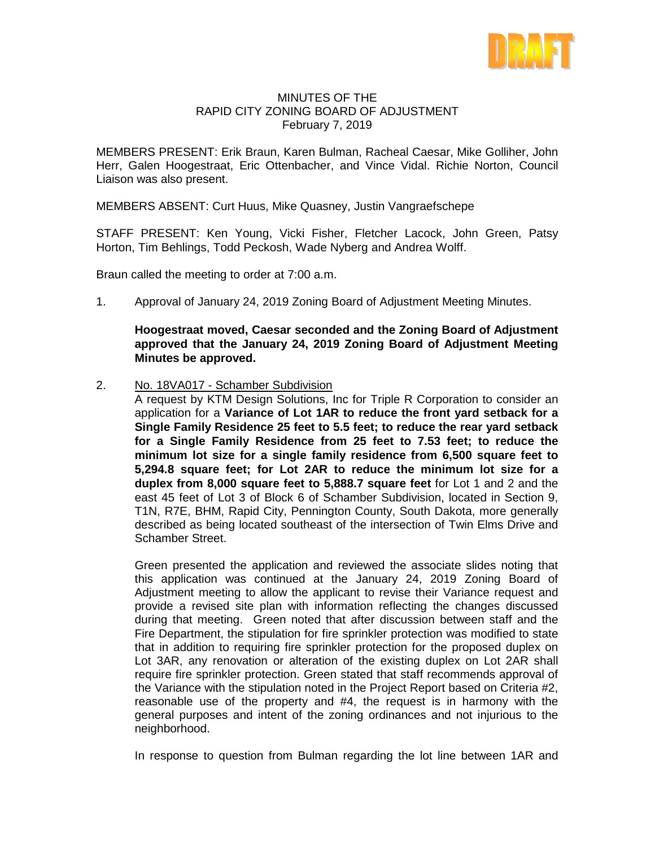

## MINUTES OF THE RAPID CITY ZONING BOARD OF ADJUSTMENT February 7, 2019

MEMBERS PRESENT: Erik Braun, Karen Bulman, Racheal Caesar, Mike Golliher, John Herr, Galen Hoogestraat, Eric Ottenbacher, and Vince Vidal. Richie Norton, Council Liaison was also present.

MEMBERS ABSENT: Curt Huus, Mike Quasney, Justin Vangraefschepe

STAFF PRESENT: Ken Young, Vicki Fisher, Fletcher Lacock, John Green, Patsy Horton, Tim Behlings, Todd Peckosh, Wade Nyberg and Andrea Wolff.

Braun called the meeting to order at 7:00 a.m.

1. Approval of January 24, 2019 Zoning Board of Adjustment Meeting Minutes.

**Hoogestraat moved, Caesar seconded and the Zoning Board of Adjustment approved that the January 24, 2019 Zoning Board of Adjustment Meeting Minutes be approved.**

2. No. 18VA017 - Schamber Subdivision

A request by KTM Design Solutions, Inc for Triple R Corporation to consider an application for a **Variance of Lot 1AR to reduce the front yard setback for a Single Family Residence 25 feet to 5.5 feet; to reduce the rear yard setback for a Single Family Residence from 25 feet to 7.53 feet; to reduce the minimum lot size for a single family residence from 6,500 square feet to 5,294.8 square feet; for Lot 2AR to reduce the minimum lot size for a duplex from 8,000 square feet to 5,888.7 square feet** for Lot 1 and 2 and the east 45 feet of Lot 3 of Block 6 of Schamber Subdivision, located in Section 9, T1N, R7E, BHM, Rapid City, Pennington County, South Dakota, more generally described as being located southeast of the intersection of Twin Elms Drive and Schamber Street.

Green presented the application and reviewed the associate slides noting that this application was continued at the January 24, 2019 Zoning Board of Adjustment meeting to allow the applicant to revise their Variance request and provide a revised site plan with information reflecting the changes discussed during that meeting. Green noted that after discussion between staff and the Fire Department, the stipulation for fire sprinkler protection was modified to state that in addition to requiring fire sprinkler protection for the proposed duplex on Lot 3AR, any renovation or alteration of the existing duplex on Lot 2AR shall require fire sprinkler protection. Green stated that staff recommends approval of the Variance with the stipulation noted in the Project Report based on Criteria #2, reasonable use of the property and #4, the request is in harmony with the general purposes and intent of the zoning ordinances and not injurious to the neighborhood.

In response to question from Bulman regarding the lot line between 1AR and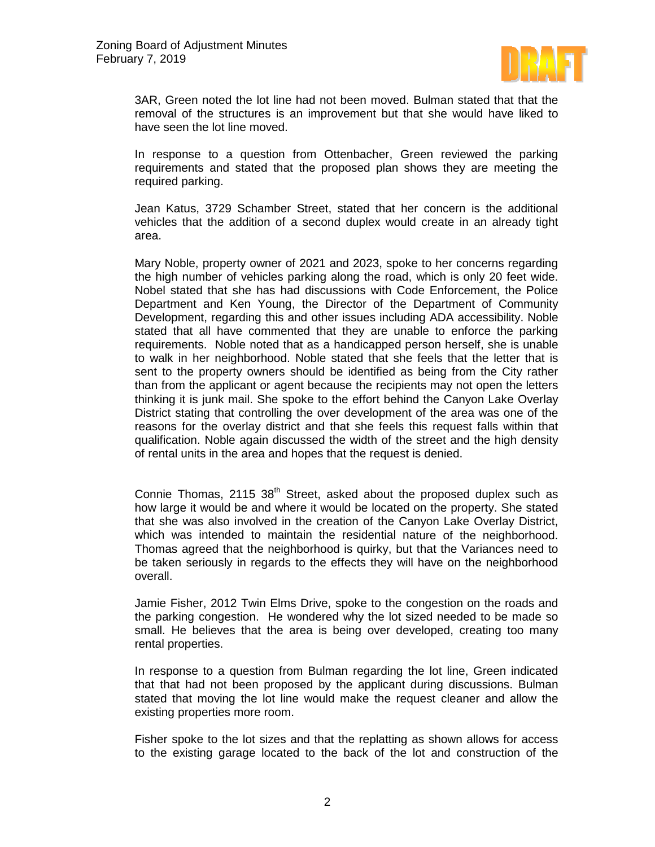

3AR, Green noted the lot line had not been moved. Bulman stated that that the removal of the structures is an improvement but that she would have liked to have seen the lot line moved.

In response to a question from Ottenbacher, Green reviewed the parking requirements and stated that the proposed plan shows they are meeting the required parking.

Jean Katus, 3729 Schamber Street, stated that her concern is the additional vehicles that the addition of a second duplex would create in an already tight area.

Mary Noble, property owner of 2021 and 2023, spoke to her concerns regarding the high number of vehicles parking along the road, which is only 20 feet wide. Nobel stated that she has had discussions with Code Enforcement, the Police Department and Ken Young, the Director of the Department of Community Development, regarding this and other issues including ADA accessibility. Noble stated that all have commented that they are unable to enforce the parking requirements. Noble noted that as a handicapped person herself, she is unable to walk in her neighborhood. Noble stated that she feels that the letter that is sent to the property owners should be identified as being from the City rather than from the applicant or agent because the recipients may not open the letters thinking it is junk mail. She spoke to the effort behind the Canyon Lake Overlay District stating that controlling the over development of the area was one of the reasons for the overlay district and that she feels this request falls within that qualification. Noble again discussed the width of the street and the high density of rental units in the area and hopes that the request is denied.

Connie Thomas, 2115  $38<sup>th</sup>$  Street, asked about the proposed duplex such as how large it would be and where it would be located on the property. She stated that she was also involved in the creation of the Canyon Lake Overlay District, which was intended to maintain the residential nature of the neighborhood. Thomas agreed that the neighborhood is quirky, but that the Variances need to be taken seriously in regards to the effects they will have on the neighborhood overall.

Jamie Fisher, 2012 Twin Elms Drive, spoke to the congestion on the roads and the parking congestion. He wondered why the lot sized needed to be made so small. He believes that the area is being over developed, creating too many rental properties.

In response to a question from Bulman regarding the lot line, Green indicated that that had not been proposed by the applicant during discussions. Bulman stated that moving the lot line would make the request cleaner and allow the existing properties more room.

Fisher spoke to the lot sizes and that the replatting as shown allows for access to the existing garage located to the back of the lot and construction of the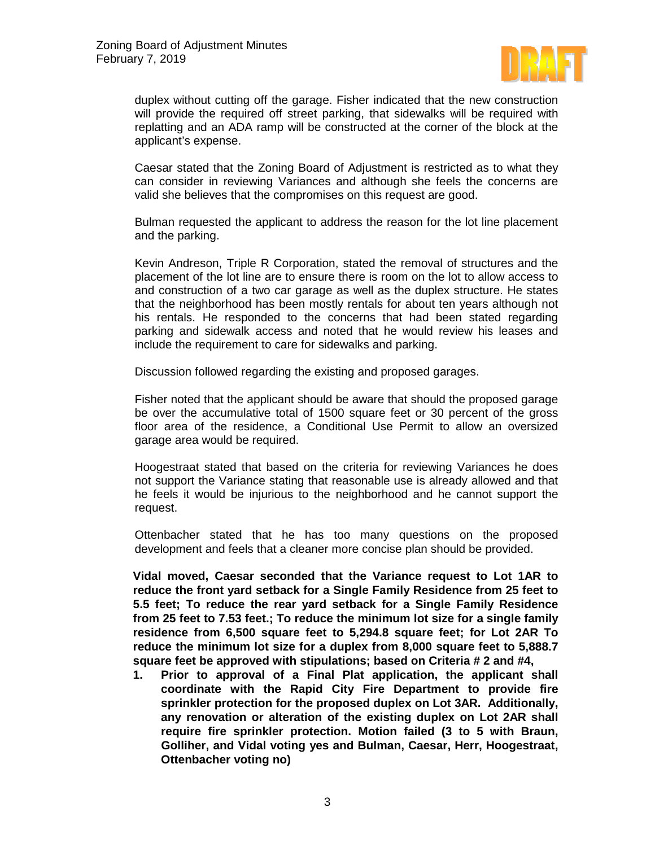

duplex without cutting off the garage. Fisher indicated that the new construction will provide the required off street parking, that sidewalks will be required with replatting and an ADA ramp will be constructed at the corner of the block at the applicant's expense.

Caesar stated that the Zoning Board of Adjustment is restricted as to what they can consider in reviewing Variances and although she feels the concerns are valid she believes that the compromises on this request are good.

Bulman requested the applicant to address the reason for the lot line placement and the parking.

Kevin Andreson, Triple R Corporation, stated the removal of structures and the placement of the lot line are to ensure there is room on the lot to allow access to and construction of a two car garage as well as the duplex structure. He states that the neighborhood has been mostly rentals for about ten years although not his rentals. He responded to the concerns that had been stated regarding parking and sidewalk access and noted that he would review his leases and include the requirement to care for sidewalks and parking.

Discussion followed regarding the existing and proposed garages.

Fisher noted that the applicant should be aware that should the proposed garage be over the accumulative total of 1500 square feet or 30 percent of the gross floor area of the residence, a Conditional Use Permit to allow an oversized garage area would be required.

Hoogestraat stated that based on the criteria for reviewing Variances he does not support the Variance stating that reasonable use is already allowed and that he feels it would be injurious to the neighborhood and he cannot support the request.

Ottenbacher stated that he has too many questions on the proposed development and feels that a cleaner more concise plan should be provided.

**Vidal moved, Caesar seconded that the Variance request to Lot 1AR to reduce the front yard setback for a Single Family Residence from 25 feet to 5.5 feet; To reduce the rear yard setback for a Single Family Residence from 25 feet to 7.53 feet.; To reduce the minimum lot size for a single family residence from 6,500 square feet to 5,294.8 square feet; for Lot 2AR To reduce the minimum lot size for a duplex from 8,000 square feet to 5,888.7 square feet be approved with stipulations; based on Criteria # 2 and #4,**

**1. Prior to approval of a Final Plat application, the applicant shall coordinate with the Rapid City Fire Department to provide fire sprinkler protection for the proposed duplex on Lot 3AR. Additionally, any renovation or alteration of the existing duplex on Lot 2AR shall require fire sprinkler protection. Motion failed (3 to 5 with Braun, Golliher, and Vidal voting yes and Bulman, Caesar, Herr, Hoogestraat, Ottenbacher voting no)**